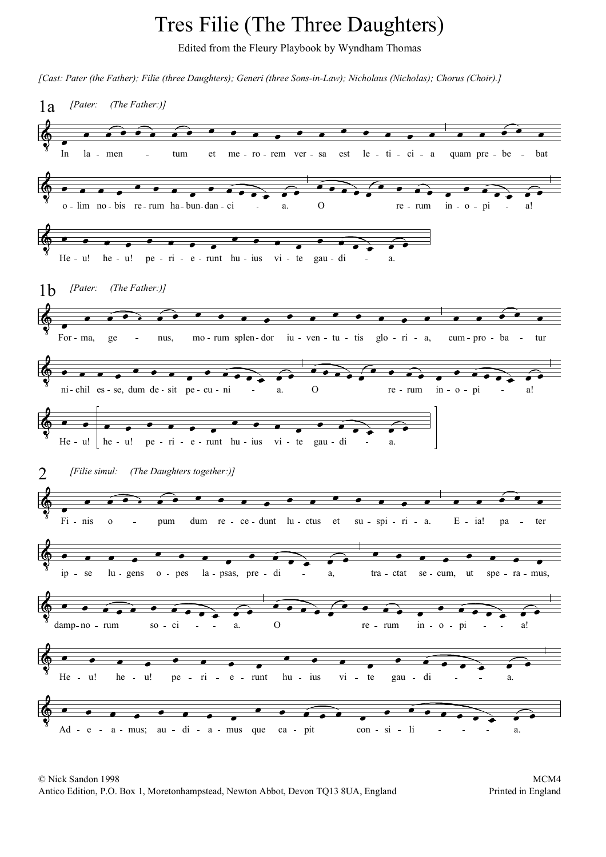## Tres Filie (The Three Daughters)

Edited from the Fleury Playbook by Wyndham Thomas

*[Cast: Pater (the Father); Filie (three Daughters); Generi (three Sons-in-Law); Nicholaus (Nicholas); Chorus (Choir).]*



© Nick Sandon 1998 Antico Edition, P.O. Box 1, Moretonhampstead, Newton Abbot, Devon TQ13 8UA, England Printed in England Printed in England

MCM4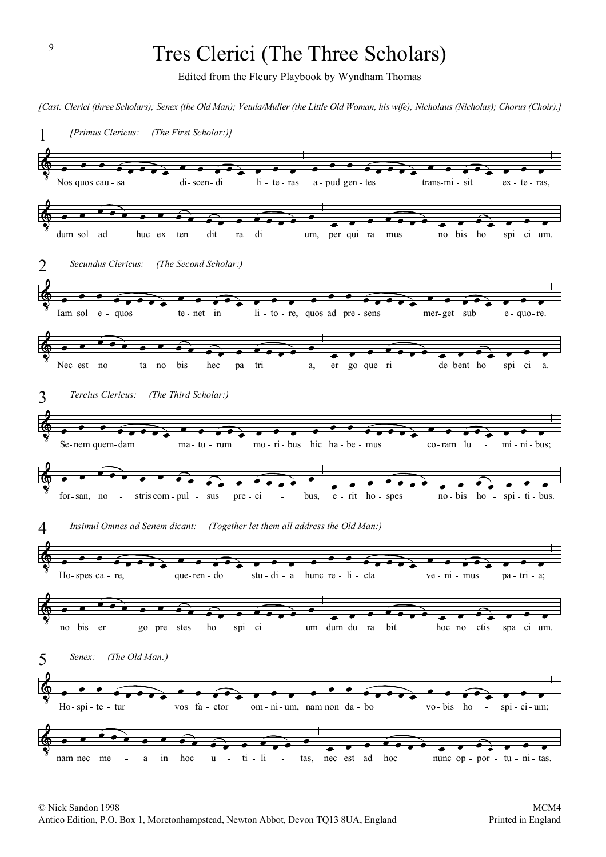## Tres Clerici (The Three Scholars)

Edited from the Fleury Playbook by Wyndham Thomas

*[Cast: Clerici (three Scholars); Senex (the Old Man); Vetula/Mulier (the Little Old Woman, his wife); Nicholaus (Nicholas); Chorus (Choir).]*